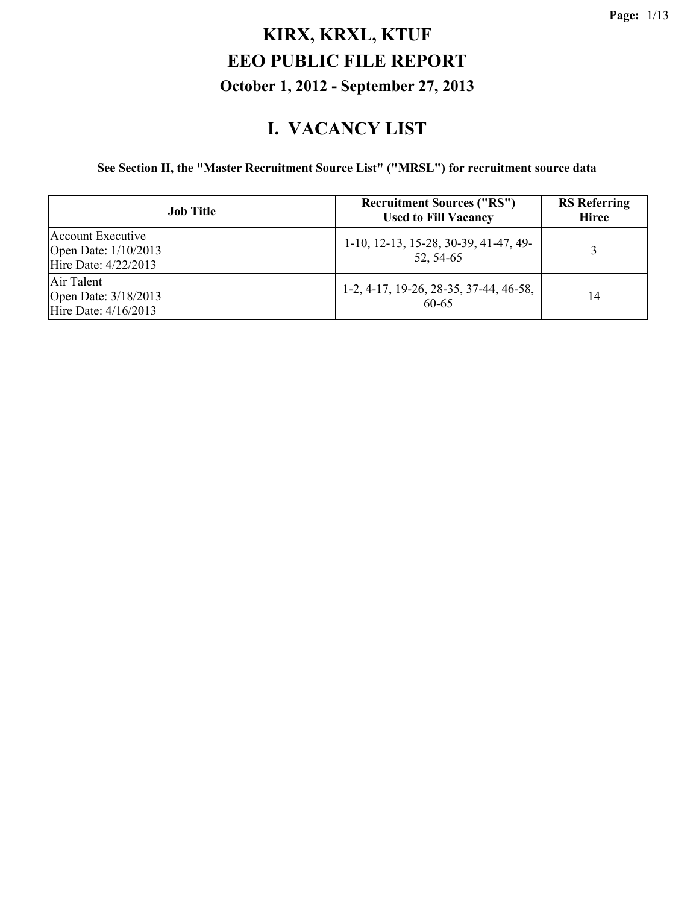#### **I. VACANCY LIST**

#### **See Section II, the "Master Recruitment Source List" ("MRSL") for recruitment source data**

| <b>Job Title</b>                                                  | <b>Recruitment Sources ("RS")</b><br><b>Used to Fill Vacancy</b> | <b>RS</b> Referring<br><b>Hiree</b> |
|-------------------------------------------------------------------|------------------------------------------------------------------|-------------------------------------|
| Account Executive<br>Open Date: 1/10/2013<br>Hire Date: 4/22/2013 | 1-10, 12-13, 15-28, 30-39, 41-47, 49-<br>52, 54-65               |                                     |
| Air Talent<br>Open Date: 3/18/2013<br>Hire Date: 4/16/2013        | 1-2, 4-17, 19-26, 28-35, 37-44, 46-58,<br>60-65                  | 14                                  |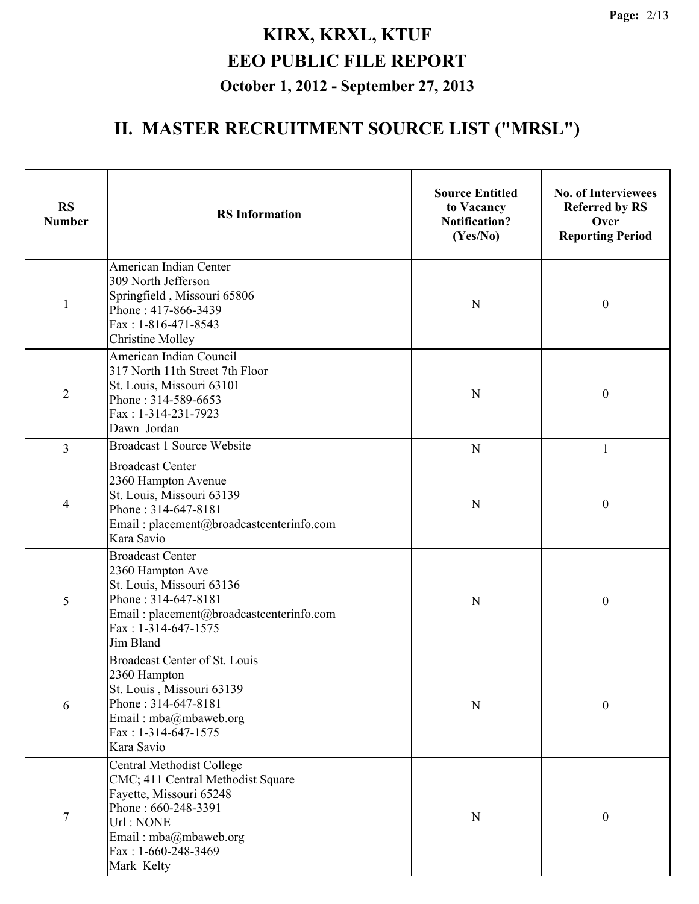| <b>RS</b><br><b>Number</b> | <b>RS</b> Information                                                                                                                                                                       | <b>Source Entitled</b><br>to Vacancy<br><b>Notification?</b><br>(Yes/No) | <b>No. of Interviewees</b><br><b>Referred by RS</b><br>Over<br><b>Reporting Period</b> |
|----------------------------|---------------------------------------------------------------------------------------------------------------------------------------------------------------------------------------------|--------------------------------------------------------------------------|----------------------------------------------------------------------------------------|
| $\mathbf{1}$               | American Indian Center<br>309 North Jefferson<br>Springfield, Missouri 65806<br>Phone: 417-866-3439<br>Fax: 1-816-471-8543<br><b>Christine Molley</b>                                       | N                                                                        | $\boldsymbol{0}$                                                                       |
| $\overline{2}$             | American Indian Council<br>317 North 11th Street 7th Floor<br>St. Louis, Missouri 63101<br>Phone: 314-589-6653<br>Fax: 1-314-231-7923<br>Dawn Jordan                                        | N                                                                        | $\boldsymbol{0}$                                                                       |
| $\overline{3}$             | <b>Broadcast 1 Source Website</b>                                                                                                                                                           | $\mathbf N$                                                              | 1                                                                                      |
| 4                          | <b>Broadcast Center</b><br>2360 Hampton Avenue<br>St. Louis, Missouri 63139<br>Phone: 314-647-8181<br>Email: placement@broadcastcenterinfo.com<br>Kara Savio                                | N                                                                        | $\boldsymbol{0}$                                                                       |
| 5                          | <b>Broadcast Center</b><br>2360 Hampton Ave<br>St. Louis, Missouri 63136<br>Phone: 314-647-8181<br>Email: placement@broadcastcenterinfo.com<br>Fax: 1-314-647-1575<br>Jim Bland             | N                                                                        | $\boldsymbol{0}$                                                                       |
| 6                          | Broadcast Center of St. Louis<br>2360 Hampton<br>St. Louis, Missouri 63139<br>Phone: 314-647-8181<br>Email: mba@mbaweb.org<br>Fax: 1-314-647-1575<br>Kara Savio                             | $\mathbf N$                                                              | $\boldsymbol{0}$                                                                       |
| $\tau$                     | Central Methodist College<br>CMC; 411 Central Methodist Square<br>Fayette, Missouri 65248<br>Phone: 660-248-3391<br>Url: NONE<br>Email: mba@mbaweb.org<br>Fax: 1-660-248-3469<br>Mark Kelty | ${\bf N}$                                                                | $\mathbf{0}$                                                                           |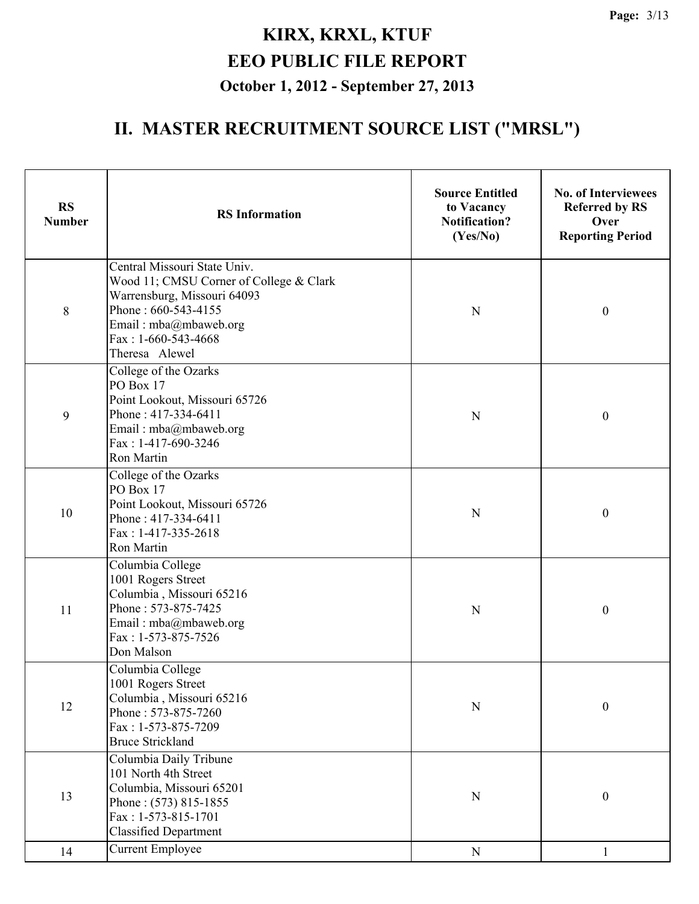| <b>RS</b><br><b>Number</b> | <b>RS</b> Information                                                                                                                                                                             | <b>Source Entitled</b><br>to Vacancy<br><b>Notification?</b><br>(Yes/No) | <b>No. of Interviewees</b><br><b>Referred by RS</b><br>Over<br><b>Reporting Period</b> |
|----------------------------|---------------------------------------------------------------------------------------------------------------------------------------------------------------------------------------------------|--------------------------------------------------------------------------|----------------------------------------------------------------------------------------|
| 8                          | Central Missouri State Univ.<br>Wood 11; CMSU Corner of College & Clark<br>Warrensburg, Missouri 64093<br>Phone: 660-543-4155<br>Email: mba@mbaweb.org<br>Fax: $1-660-543-4668$<br>Theresa Alewel | N                                                                        | $\boldsymbol{0}$                                                                       |
| 9                          | College of the Ozarks<br>PO Box 17<br>Point Lookout, Missouri 65726<br>Phone: 417-334-6411<br>Email: mba@mbaweb.org<br>Fax: 1-417-690-3246<br>Ron Martin                                          | N                                                                        | $\boldsymbol{0}$                                                                       |
| 10                         | College of the Ozarks<br>PO Box 17<br>Point Lookout, Missouri 65726<br>Phone: 417-334-6411<br>Fax: 1-417-335-2618<br>Ron Martin                                                                   | N                                                                        | $\boldsymbol{0}$                                                                       |
| 11                         | Columbia College<br>1001 Rogers Street<br>Columbia, Missouri 65216<br>Phone: 573-875-7425<br>Email: mba@mbaweb.org<br>Fax: 1-573-875-7526<br>Don Malson                                           | $\mathbf N$                                                              | $\boldsymbol{0}$                                                                       |
| 12                         | Columbia College<br>1001 Rogers Street<br>Columbia, Missouri 65216<br>Phone: 573-875-7260<br>Fax: 1-573-875-7209<br><b>Bruce Strickland</b>                                                       | $\mathbf N$                                                              | $\boldsymbol{0}$                                                                       |
| 13                         | Columbia Daily Tribune<br>101 North 4th Street<br>Columbia, Missouri 65201<br>Phone: (573) 815-1855<br>Fax: 1-573-815-1701<br><b>Classified Department</b>                                        | ${\bf N}$                                                                | $\boldsymbol{0}$                                                                       |
| 14                         | <b>Current Employee</b>                                                                                                                                                                           | ${\bf N}$                                                                | $\mathbf{1}$                                                                           |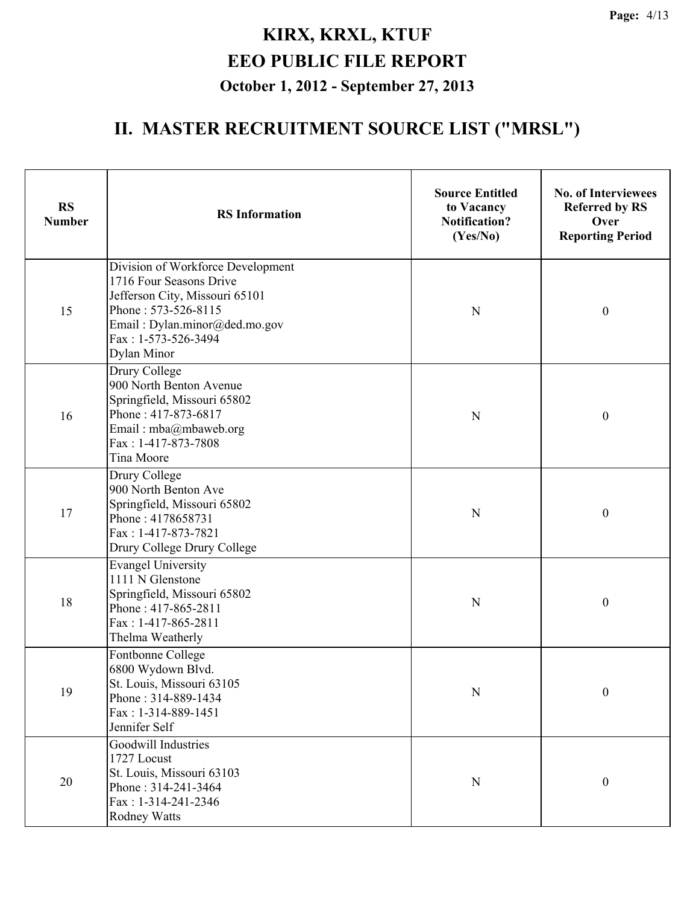| <b>RS</b><br><b>Number</b> | <b>RS</b> Information                                                                                                                                                                               | <b>Source Entitled</b><br>to Vacancy<br><b>Notification?</b><br>(Yes/No) | <b>No. of Interviewees</b><br><b>Referred by RS</b><br>Over<br><b>Reporting Period</b> |
|----------------------------|-----------------------------------------------------------------------------------------------------------------------------------------------------------------------------------------------------|--------------------------------------------------------------------------|----------------------------------------------------------------------------------------|
| 15                         | Division of Workforce Development<br>1716 Four Seasons Drive<br>Jefferson City, Missouri 65101<br>Phone: 573-526-8115<br>Email: Dylan.minor@ded.mo.gov<br>Fax: 1-573-526-3494<br><b>Dylan Minor</b> | N                                                                        | $\boldsymbol{0}$                                                                       |
| 16                         | Drury College<br>900 North Benton Avenue<br>Springfield, Missouri 65802<br>Phone: 417-873-6817<br>Email: mba@mbaweb.org<br>Fax: 1-417-873-7808<br>Tina Moore                                        | N                                                                        | $\boldsymbol{0}$                                                                       |
| 17                         | Drury College<br>900 North Benton Ave<br>Springfield, Missouri 65802<br>Phone: 4178658731<br>Fax: 1-417-873-7821<br>Drury College Drury College                                                     | N                                                                        | $\boldsymbol{0}$                                                                       |
| 18                         | <b>Evangel University</b><br>1111 N Glenstone<br>Springfield, Missouri 65802<br>Phone: 417-865-2811<br>Fax: 1-417-865-2811<br>Thelma Weatherly                                                      | N                                                                        | $\boldsymbol{0}$                                                                       |
| 19                         | Fontbonne College<br>6800 Wydown Blvd.<br>St. Louis, Missouri 63105<br>Phone: 314-889-1434<br>Fax: 1-314-889-1451<br>Jennifer Self                                                                  | ${\bf N}$                                                                | $\boldsymbol{0}$                                                                       |
| 20                         | Goodwill Industries<br>1727 Locust<br>St. Louis, Missouri 63103<br>Phone: 314-241-3464<br>Fax: 1-314-241-2346<br><b>Rodney Watts</b>                                                                | ${\bf N}$                                                                | $\boldsymbol{0}$                                                                       |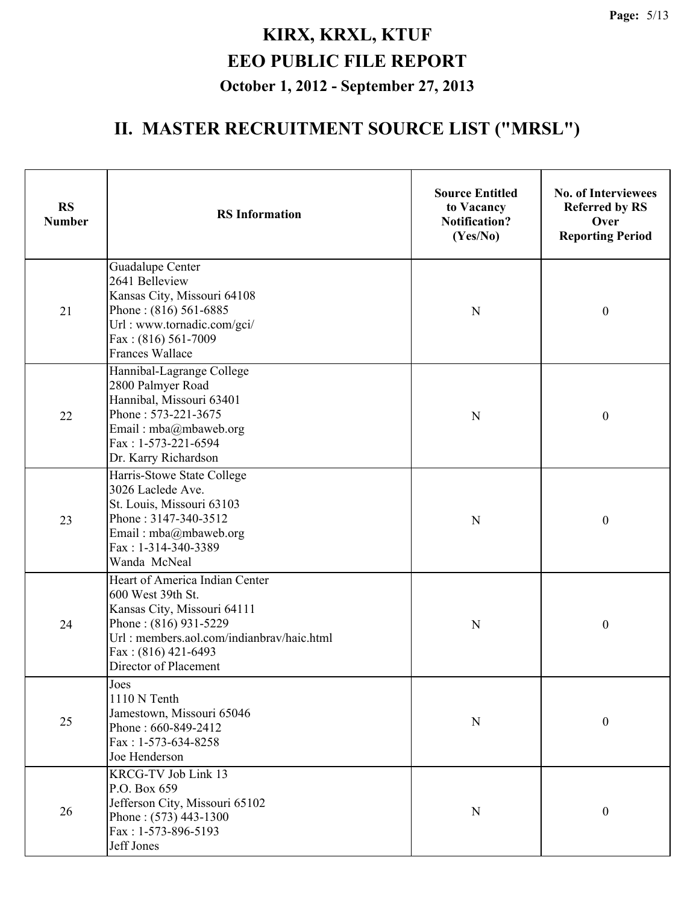| <b>RS</b><br><b>Number</b> | <b>RS</b> Information                                                                                                                                                                                      | <b>Source Entitled</b><br>to Vacancy<br><b>Notification?</b><br>(Yes/No) | <b>No. of Interviewees</b><br><b>Referred by RS</b><br>Over<br><b>Reporting Period</b> |
|----------------------------|------------------------------------------------------------------------------------------------------------------------------------------------------------------------------------------------------------|--------------------------------------------------------------------------|----------------------------------------------------------------------------------------|
| 21                         | Guadalupe Center<br>2641 Belleview<br>Kansas City, Missouri 64108<br>Phone: (816) 561-6885<br>Url: www.tornadic.com/gci/<br>Fax: (816) 561-7009<br><b>Frances Wallace</b>                                  | N                                                                        | $\boldsymbol{0}$                                                                       |
| 22                         | Hannibal-Lagrange College<br>2800 Palmyer Road<br>Hannibal, Missouri 63401<br>Phone: 573-221-3675<br>Email: mba@mbaweb.org<br>Fax: 1-573-221-6594<br>Dr. Karry Richardson                                  | N                                                                        | $\boldsymbol{0}$                                                                       |
| 23                         | Harris-Stowe State College<br>3026 Laclede Ave.<br>St. Louis, Missouri 63103<br>Phone: 3147-340-3512<br>Email: mba@mbaweb.org<br>Fax: 1-314-340-3389<br>Wanda McNeal                                       | $\mathbf N$                                                              | $\boldsymbol{0}$                                                                       |
| 24                         | Heart of America Indian Center<br>600 West 39th St.<br>Kansas City, Missouri 64111<br>Phone: (816) 931-5229<br>Url: members.aol.com/indianbrav/haic.html<br>Fax: $(816)$ 421-6493<br>Director of Placement | N                                                                        | $\boldsymbol{0}$                                                                       |
| 25                         | Joes<br>1110 N Tenth<br>Jamestown, Missouri 65046<br>Phone: 660-849-2412<br>Fax: 1-573-634-8258<br>Joe Henderson                                                                                           | ${\bf N}$                                                                | $\boldsymbol{0}$                                                                       |
| 26                         | KRCG-TV Job Link 13<br>P.O. Box 659<br>Jefferson City, Missouri 65102<br>Phone: (573) 443-1300<br>Fax: 1-573-896-5193<br>Jeff Jones                                                                        | $\mathbf N$                                                              | $\boldsymbol{0}$                                                                       |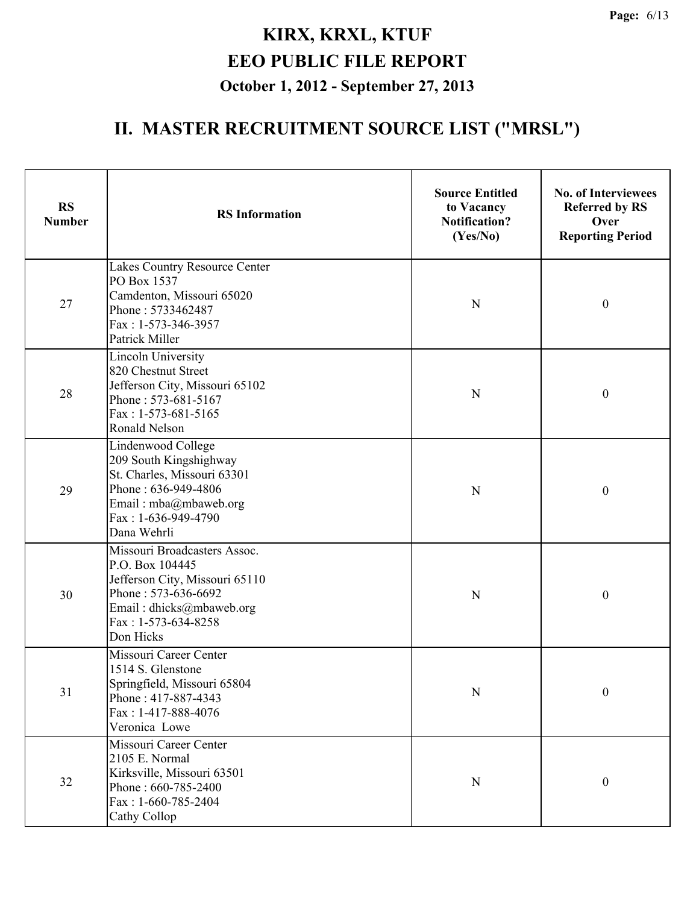| <b>RS</b><br><b>Number</b> | <b>RS</b> Information                                                                                                                                                    | <b>Source Entitled</b><br>to Vacancy<br><b>Notification?</b><br>(Yes/No) | <b>No. of Interviewees</b><br><b>Referred by RS</b><br>Over<br><b>Reporting Period</b> |
|----------------------------|--------------------------------------------------------------------------------------------------------------------------------------------------------------------------|--------------------------------------------------------------------------|----------------------------------------------------------------------------------------|
| 27                         | Lakes Country Resource Center<br>PO Box 1537<br>Camdenton, Missouri 65020<br>Phone: 5733462487<br>Fax: 1-573-346-3957<br><b>Patrick Miller</b>                           | N                                                                        | $\boldsymbol{0}$                                                                       |
| 28                         | <b>Lincoln University</b><br>820 Chestnut Street<br>Jefferson City, Missouri 65102<br>Phone: 573-681-5167<br>Fax: 1-573-681-5165<br>Ronald Nelson                        | N                                                                        | $\boldsymbol{0}$                                                                       |
| 29                         | Lindenwood College<br>209 South Kingshighway<br>St. Charles, Missouri 63301<br>Phone: 636-949-4806<br>Email: mba@mbaweb.org<br>Fax: 1-636-949-4790<br>Dana Wehrli        | N                                                                        | $\boldsymbol{0}$                                                                       |
| 30                         | Missouri Broadcasters Assoc.<br>P.O. Box 104445<br>Jefferson City, Missouri 65110<br>Phone: 573-636-6692<br>Email: dhicks@mbaweb.org<br>Fax: 1-573-634-8258<br>Don Hicks | N                                                                        | $\boldsymbol{0}$                                                                       |
| 31                         | Missouri Career Center<br>1514 S. Glenstone<br>Springfield, Missouri 65804<br>Phone: 417-887-4343<br>Fax: 1-417-888-4076<br>Veronica Lowe                                | $\mathbf N$                                                              | $\boldsymbol{0}$                                                                       |
| 32                         | Missouri Career Center<br>2105 E. Normal<br>Kirksville, Missouri 63501<br>Phone: 660-785-2400<br>Fax: 1-660-785-2404<br>Cathy Collop                                     | $\mathbf N$                                                              | $\boldsymbol{0}$                                                                       |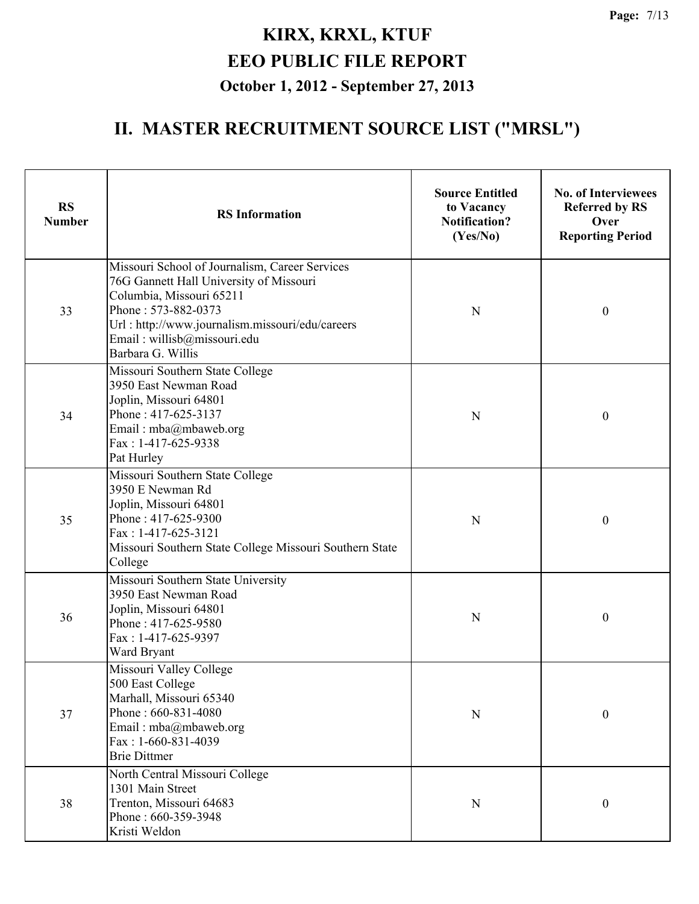| <b>RS</b><br><b>Number</b> | <b>RS</b> Information                                                                                                                                                                                                                               | <b>Source Entitled</b><br>to Vacancy<br><b>Notification?</b><br>(Yes/No) | <b>No. of Interviewees</b><br><b>Referred by RS</b><br>Over<br><b>Reporting Period</b> |
|----------------------------|-----------------------------------------------------------------------------------------------------------------------------------------------------------------------------------------------------------------------------------------------------|--------------------------------------------------------------------------|----------------------------------------------------------------------------------------|
| 33                         | Missouri School of Journalism, Career Services<br>76G Gannett Hall University of Missouri<br>Columbia, Missouri 65211<br>Phone: 573-882-0373<br>Url: http://www.journalism.missouri/edu/careers<br>Email: willisb@missouri.edu<br>Barbara G. Willis | N                                                                        | $\mathbf{0}$                                                                           |
| 34                         | Missouri Southern State College<br>3950 East Newman Road<br>Joplin, Missouri 64801<br>Phone: 417-625-3137<br>Email: mba@mbaweb.org<br>Fax: $1-417-625-9338$<br>Pat Hurley                                                                           | N                                                                        | $\mathbf{0}$                                                                           |
| 35                         | Missouri Southern State College<br>3950 E Newman Rd<br>Joplin, Missouri 64801<br>Phone: 417-625-9300<br>Fax: 1-417-625-3121<br>Missouri Southern State College Missouri Southern State<br>College                                                   | N                                                                        | $\boldsymbol{0}$                                                                       |
| 36                         | Missouri Southern State University<br>3950 East Newman Road<br>Joplin, Missouri 64801<br>Phone: 417-625-9580<br>Fax: 1-417-625-9397<br>Ward Bryant                                                                                                  | N                                                                        | $\boldsymbol{0}$                                                                       |
| 37                         | Missouri Valley College<br>500 East College<br>Marhall, Missouri 65340<br>Phone: 660-831-4080<br>Email: mba@mbaweb.org<br>Fax: 1-660-831-4039<br><b>Brie Dittmer</b>                                                                                | N                                                                        | $\boldsymbol{0}$                                                                       |
| 38                         | North Central Missouri College<br>1301 Main Street<br>Trenton, Missouri 64683<br>Phone: 660-359-3948<br>Kristi Weldon                                                                                                                               | N                                                                        | $\boldsymbol{0}$                                                                       |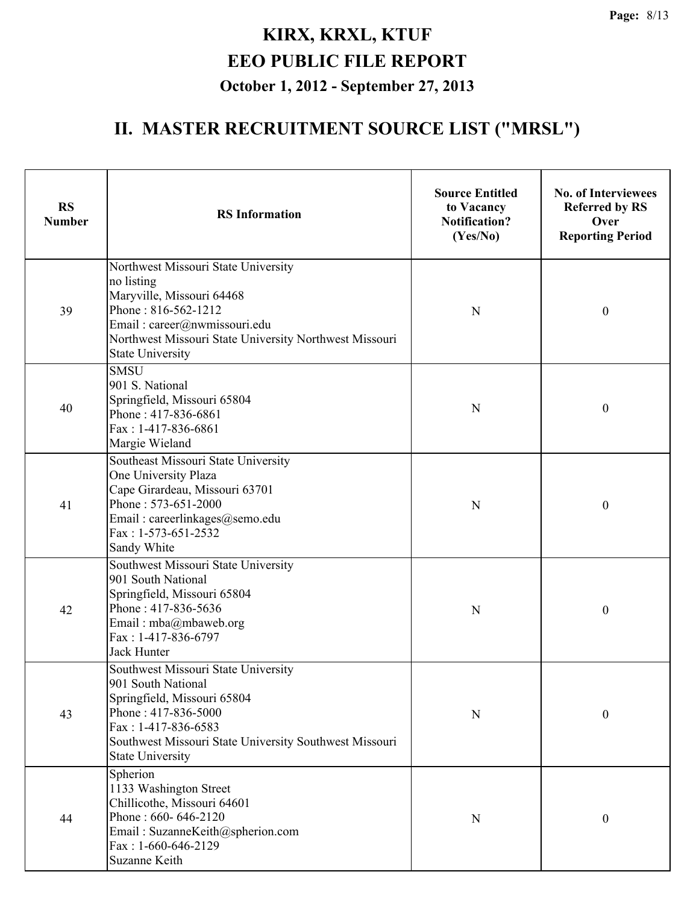| <b>RS</b><br><b>Number</b> | <b>RS</b> Information                                                                                                                                                                                                       | <b>Source Entitled</b><br>to Vacancy<br><b>Notification?</b><br>(Yes/No) | <b>No. of Interviewees</b><br><b>Referred by RS</b><br>Over<br><b>Reporting Period</b> |
|----------------------------|-----------------------------------------------------------------------------------------------------------------------------------------------------------------------------------------------------------------------------|--------------------------------------------------------------------------|----------------------------------------------------------------------------------------|
| 39                         | Northwest Missouri State University<br>no listing<br>Maryville, Missouri 64468<br>Phone: 816-562-1212<br>Email: career@nwmissouri.edu<br>Northwest Missouri State University Northwest Missouri<br><b>State University</b>  | N                                                                        | $\boldsymbol{0}$                                                                       |
| 40                         | <b>SMSU</b><br>901 S. National<br>Springfield, Missouri 65804<br>Phone: 417-836-6861<br>Fax: 1-417-836-6861<br>Margie Wieland                                                                                               | N                                                                        | $\boldsymbol{0}$                                                                       |
| 41                         | Southeast Missouri State University<br>One University Plaza<br>Cape Girardeau, Missouri 63701<br>Phone: 573-651-2000<br>Email: careerlinkages@semo.edu<br>Fax: 1-573-651-2532<br>Sandy White                                | N                                                                        | $\boldsymbol{0}$                                                                       |
| 42                         | Southwest Missouri State University<br>901 South National<br>Springfield, Missouri 65804<br>Phone: 417-836-5636<br>Email: mba@mbaweb.org<br>Fax: 1-417-836-6797<br><b>Jack Hunter</b>                                       | N                                                                        | $\boldsymbol{0}$                                                                       |
| 43                         | Southwest Missouri State University<br>901 South National<br>Springfield, Missouri 65804<br>Phone: 417-836-5000<br>Fax: 1-417-836-6583<br>Southwest Missouri State University Southwest Missouri<br><b>State University</b> | N                                                                        | 0                                                                                      |
| 44                         | Spherion<br>1133 Washington Street<br>Chillicothe, Missouri 64601<br>Phone: 660-646-2120<br>Email: SuzanneKeith@spherion.com<br>Fax: 1-660-646-2129<br>Suzanne Keith                                                        | N                                                                        | 0                                                                                      |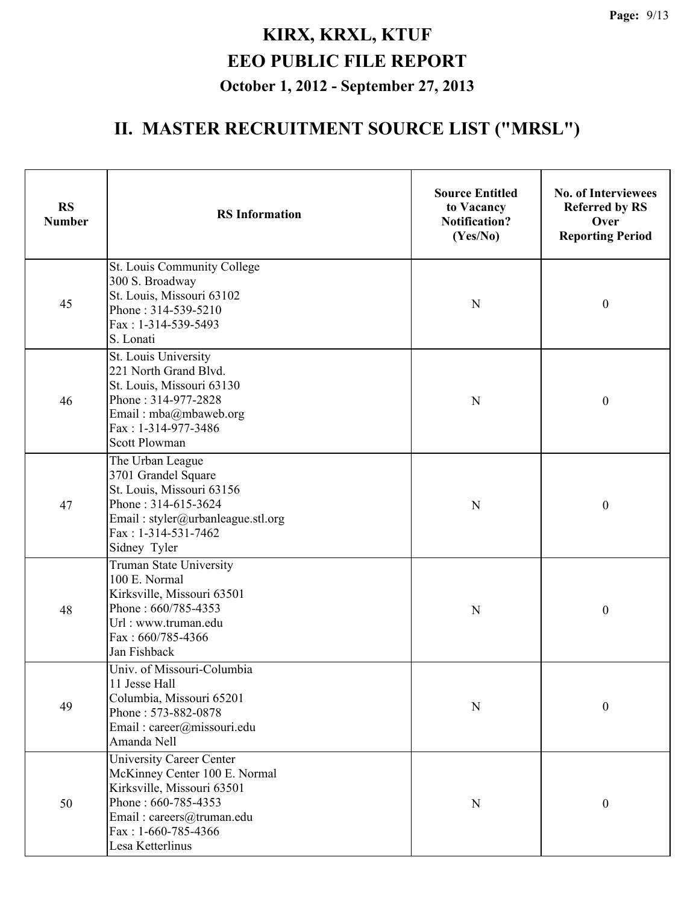| <b>RS</b><br><b>Number</b> | <b>RS</b> Information                                                                                                                                                                           | <b>Source Entitled</b><br>to Vacancy<br><b>Notification?</b><br>(Yes/No) | <b>No. of Interviewees</b><br><b>Referred by RS</b><br>Over<br><b>Reporting Period</b> |
|----------------------------|-------------------------------------------------------------------------------------------------------------------------------------------------------------------------------------------------|--------------------------------------------------------------------------|----------------------------------------------------------------------------------------|
| 45                         | St. Louis Community College<br>300 S. Broadway<br>St. Louis, Missouri 63102<br>Phone: 314-539-5210<br>Fax: 1-314-539-5493<br>S. Lonati                                                          | N                                                                        | $\boldsymbol{0}$                                                                       |
| 46                         | St. Louis University<br>221 North Grand Blvd.<br>St. Louis, Missouri 63130<br>Phone: 314-977-2828<br>Email: mba@mbaweb.org<br>Fax: 1-314-977-3486<br><b>Scott Plowman</b>                       | N                                                                        | $\boldsymbol{0}$                                                                       |
| 47                         | The Urban League<br>3701 Grandel Square<br>St. Louis, Missouri 63156<br>Phone: 314-615-3624<br>Email: styler@urbanleague.stl.org<br>Fax: 1-314-531-7462<br>Sidney Tyler                         | N                                                                        | $\boldsymbol{0}$                                                                       |
| 48                         | Truman State University<br>100 E. Normal<br>Kirksville, Missouri 63501<br>Phone: 660/785-4353<br>Url: www.truman.edu<br>Fax: 660/785-4366<br>Jan Fishback                                       | N                                                                        | $\boldsymbol{0}$                                                                       |
| 49                         | Univ. of Missouri-Columbia<br>11 Jesse Hall<br>Columbia, Missouri 65201<br>Phone: 573-882-0878<br>Email: career@missouri.edu<br>Amanda Nell                                                     | N                                                                        | $\boldsymbol{0}$                                                                       |
| 50                         | <b>University Career Center</b><br>McKinney Center 100 E. Normal<br>Kirksville, Missouri 63501<br>Phone: 660-785-4353<br>Email: careers@truman.edu<br>Fax: $1-660-785-4366$<br>Lesa Ketterlinus | N                                                                        | $\boldsymbol{0}$                                                                       |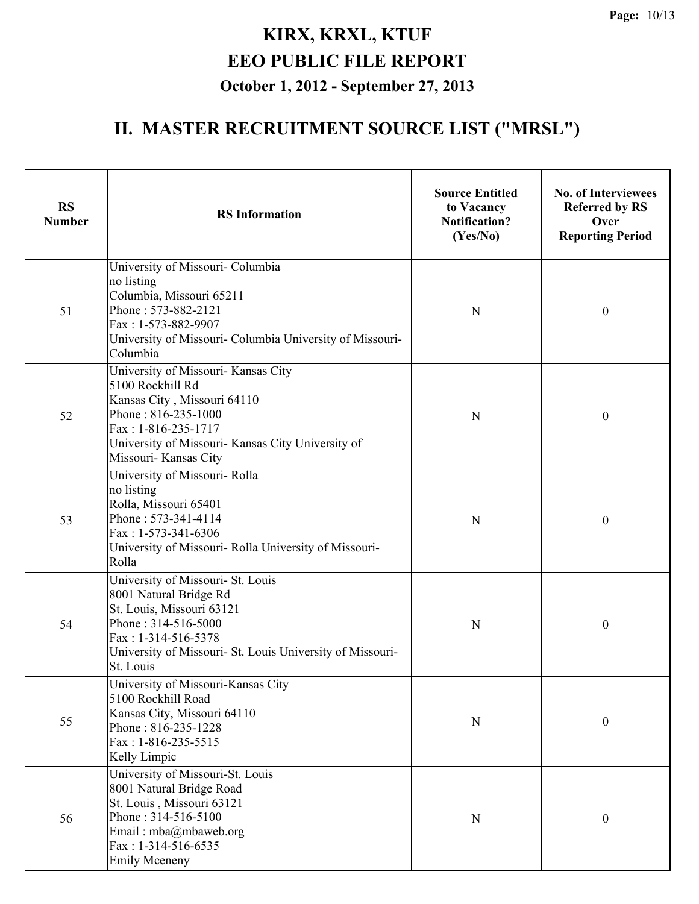| <b>RS</b><br><b>Number</b> | <b>RS</b> Information                                                                                                                                                                                              | <b>Source Entitled</b><br>to Vacancy<br><b>Notification?</b><br>(Yes/No) | <b>No. of Interviewees</b><br><b>Referred by RS</b><br>Over<br><b>Reporting Period</b> |
|----------------------------|--------------------------------------------------------------------------------------------------------------------------------------------------------------------------------------------------------------------|--------------------------------------------------------------------------|----------------------------------------------------------------------------------------|
| 51                         | University of Missouri- Columbia<br>no listing<br>Columbia, Missouri 65211<br>Phone: 573-882-2121<br>Fax: 1-573-882-9907<br>University of Missouri- Columbia University of Missouri-<br>Columbia                   | N                                                                        | $\boldsymbol{0}$                                                                       |
| 52                         | University of Missouri- Kansas City<br>5100 Rockhill Rd<br>Kansas City, Missouri 64110<br>Phone: 816-235-1000<br>Fax: 1-816-235-1717<br>University of Missouri- Kansas City University of<br>Missouri- Kansas City | N                                                                        | $\boldsymbol{0}$                                                                       |
| 53                         | University of Missouri- Rolla<br>no listing<br>Rolla, Missouri 65401<br>Phone: 573-341-4114<br>Fax: 1-573-341-6306<br>University of Missouri- Rolla University of Missouri-<br>Rolla                               | N                                                                        | $\boldsymbol{0}$                                                                       |
| 54                         | University of Missouri- St. Louis<br>8001 Natural Bridge Rd<br>St. Louis, Missouri 63121<br>Phone: 314-516-5000<br>Fax: 1-314-516-5378<br>University of Missouri- St. Louis University of Missouri-<br>St. Louis   | N                                                                        | $\boldsymbol{0}$                                                                       |
| 55                         | University of Missouri-Kansas City<br>5100 Rockhill Road<br>Kansas City, Missouri 64110<br>Phone: 816-235-1228<br>$Fax: 1-816-235-5515$<br>Kelly Limpic                                                            | $\mathbf N$                                                              | $\boldsymbol{0}$                                                                       |
| 56                         | University of Missouri-St. Louis<br>8001 Natural Bridge Road<br>St. Louis, Missouri 63121<br>Phone: 314-516-5100<br>Email: mba@mbaweb.org<br>$Fax: 1-314-516-6535$<br><b>Emily Mceneny</b>                         | ${\bf N}$                                                                | $\boldsymbol{0}$                                                                       |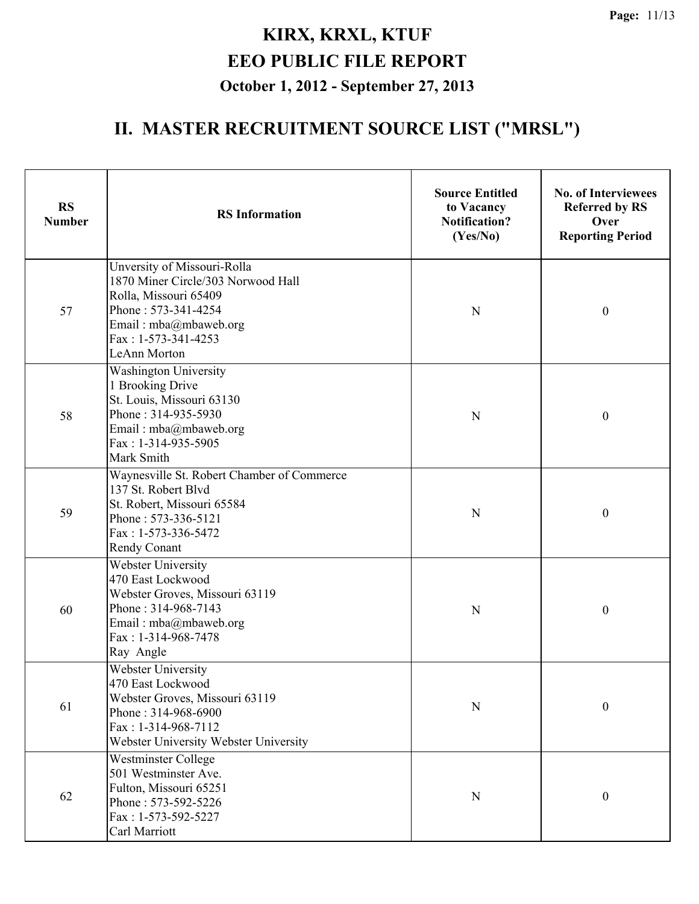| <b>RS</b><br><b>Number</b> | <b>RS</b> Information                                                                                                                                                                    | <b>Source Entitled</b><br>to Vacancy<br><b>Notification?</b><br>(Yes/No) | <b>No. of Interviewees</b><br><b>Referred by RS</b><br>Over<br><b>Reporting Period</b> |
|----------------------------|------------------------------------------------------------------------------------------------------------------------------------------------------------------------------------------|--------------------------------------------------------------------------|----------------------------------------------------------------------------------------|
| 57                         | Unversity of Missouri-Rolla<br>1870 Miner Circle/303 Norwood Hall<br>Rolla, Missouri 65409<br>Phone: 573-341-4254<br>Email: mba@mbaweb.org<br>Fax: 1-573-341-4253<br><b>LeAnn Morton</b> | N                                                                        | $\boldsymbol{0}$                                                                       |
| 58                         | <b>Washington University</b><br>1 Brooking Drive<br>St. Louis, Missouri 63130<br>Phone: 314-935-5930<br>Email: mba@mbaweb.org<br>Fax: 1-314-935-5905<br>Mark Smith                       | N                                                                        | $\boldsymbol{0}$                                                                       |
| 59                         | Waynesville St. Robert Chamber of Commerce<br>137 St. Robert Blvd<br>St. Robert, Missouri 65584<br>Phone: 573-336-5121<br>Fax: 1-573-336-5472<br>Rendy Conant                            | N                                                                        | $\boldsymbol{0}$                                                                       |
| 60                         | Webster University<br>470 East Lockwood<br>Webster Groves, Missouri 63119<br>Phone: 314-968-7143<br>Email: mba@mbaweb.org<br>Fax: 1-314-968-7478<br>Ray Angle                            | N                                                                        | $\boldsymbol{0}$                                                                       |
| 61                         | Webster University<br>470 East Lockwood<br>Webster Groves, Missouri 63119<br>Phone: 314-968-6900<br>Fax: 1-314-968-7112<br>Webster University Webster University                         | N                                                                        | $\boldsymbol{0}$                                                                       |
| 62                         | <b>Westminster College</b><br>501 Westminster Ave.<br>Fulton, Missouri 65251<br>Phone: 573-592-5226<br>Fax: 1-573-592-5227<br>Carl Marriott                                              | N                                                                        | $\boldsymbol{0}$                                                                       |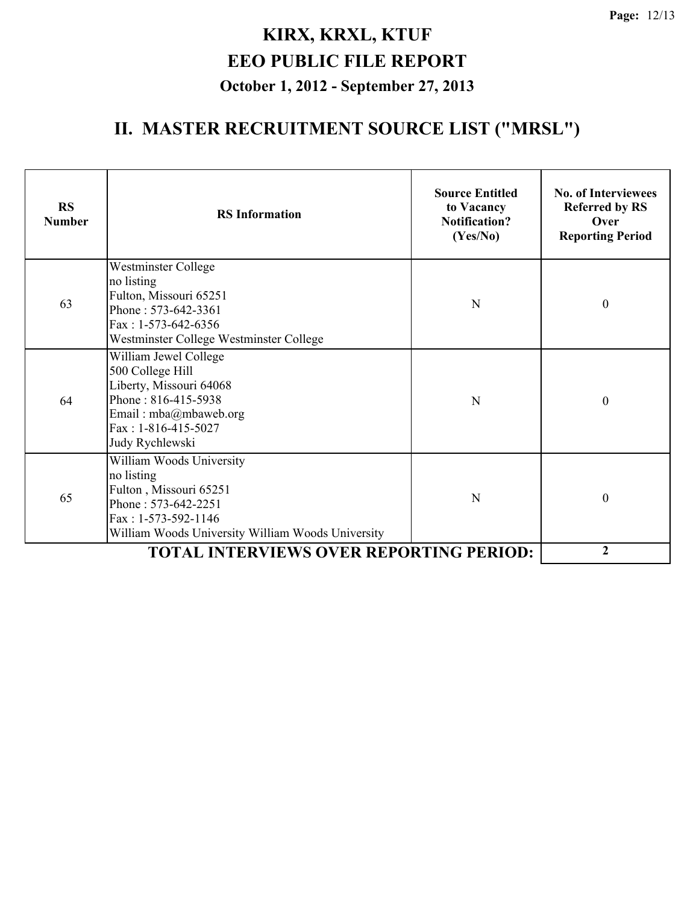| <b>RS</b><br><b>Number</b> | <b>RS</b> Information                                                                                                                                               | <b>Source Entitled</b><br>to Vacancy<br><b>Notification?</b><br>(Yes/No) | <b>No. of Interviewees</b><br><b>Referred by RS</b><br>Over<br><b>Reporting Period</b> |
|----------------------------|---------------------------------------------------------------------------------------------------------------------------------------------------------------------|--------------------------------------------------------------------------|----------------------------------------------------------------------------------------|
| 63                         | <b>Westminster College</b><br>no listing<br>Fulton, Missouri 65251<br>Phone: 573-642-3361<br>Fax: $1-573-642-6356$<br>Westminster College Westminster College       | N                                                                        | $\boldsymbol{0}$                                                                       |
| 64                         | William Jewel College<br>500 College Hill<br>Liberty, Missouri 64068<br>Phone: 816-415-5938<br>Email: mba@mbaweb.org<br>Fax: 1-816-415-5027<br>Judy Rychlewski      | N                                                                        | $\theta$                                                                               |
| 65                         | William Woods University<br>no listing<br>Fulton, Missouri 65251<br>Phone: 573-642-2251<br>Fax: 1-573-592-1146<br>William Woods University William Woods University | N                                                                        | $\theta$                                                                               |
|                            | <b>TOTAL INTERVIEWS OVER REPORTING PERIOD:</b>                                                                                                                      |                                                                          | $\mathbf{2}$                                                                           |